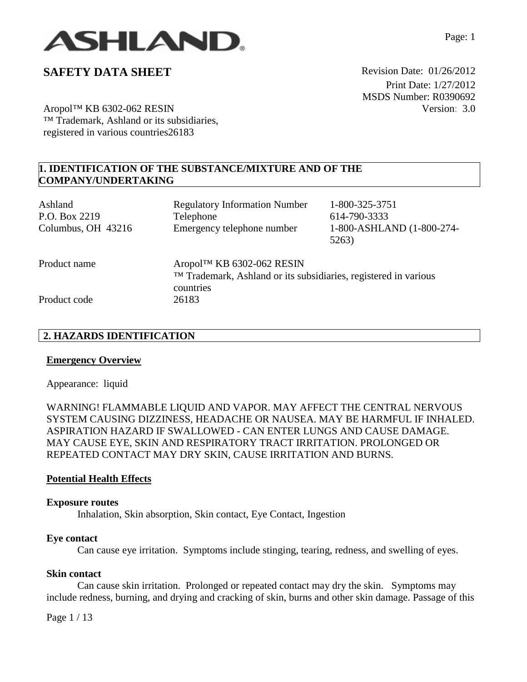

Aropol™ KB 6302-062 RESIN ™ Trademark, Ashland or its subsidiaries, registered in various countries26183

**1. IDENTIFICATION OF THE SUBSTANCE/MIXTURE AND OF THE COMPANY/UNDERTAKING** 

| Ashland<br>P.O. Box 2219<br>Columbus, OH 43216 | <b>Regulatory Information Number</b><br>Telephone<br>Emergency telephone number               | 1-800-325-3751<br>614-790-3333<br>1-800-ASHLAND (1-800-274-<br>5263) |
|------------------------------------------------|-----------------------------------------------------------------------------------------------|----------------------------------------------------------------------|
| Product name                                   | Aropol™ KB 6302-062 RESIN<br>TM Trademark, Ashland or its subsidiaries, registered in various |                                                                      |
| Product code                                   | countries<br>26183                                                                            |                                                                      |

### **2. HAZARDS IDENTIFICATION**

### **Emergency Overview**

Appearance:liquid

WARNING! FLAMMABLE LIQUID AND VAPOR. MAY AFFECT THE CENTRAL NERVOUS SYSTEM CAUSING DIZZINESS, HEADACHE OR NAUSEA. MAY BE HARMFUL IF INHALED. ASPIRATION HAZARD IF SWALLOWED - CAN ENTER LUNGS AND CAUSE DAMAGE. MAY CAUSE EYE, SKIN AND RESPIRATORY TRACT IRRITATION. PROLONGED OR REPEATED CONTACT MAY DRY SKIN, CAUSE IRRITATION AND BURNS.

#### **Potential Health Effects**

#### **Exposure routes**

Inhalation, Skin absorption, Skin contact, Eye Contact, Ingestion

#### **Eye contact**

Can cause eye irritation. Symptoms include stinging, tearing, redness, and swelling of eyes.

### **Skin contact**

Can cause skin irritation. Prolonged or repeated contact may dry the skin. Symptoms may include redness, burning, and drying and cracking of skin, burns and other skin damage. Passage of this

Page 1 / 13

Page: 1

 Print Date: 1/27/2012 MSDS Number: R0390692 Version: 3.0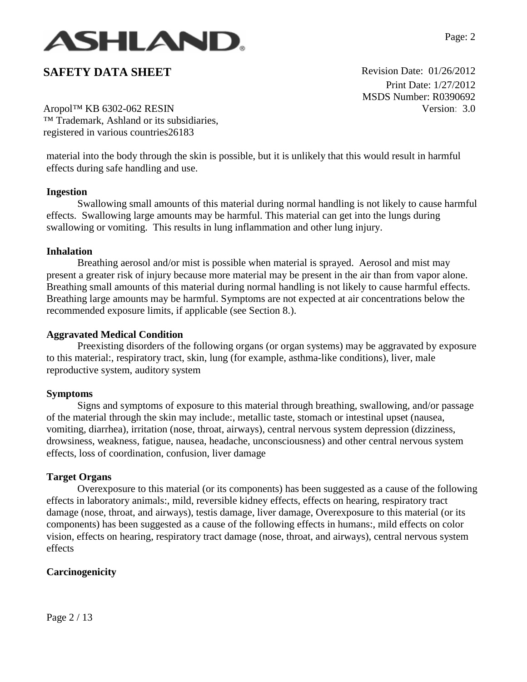

 Print Date: 1/27/2012 MSDS Number: R0390692 Version: 3.0

Aropol™ KB 6302-062 RESIN ™ Trademark, Ashland or its subsidiaries, registered in various countries26183

material into the body through the skin is possible, but it is unlikely that this would result in harmful effects during safe handling and use.

#### **Ingestion**

Swallowing small amounts of this material during normal handling is not likely to cause harmful effects. Swallowing large amounts may be harmful. This material can get into the lungs during swallowing or vomiting. This results in lung inflammation and other lung injury.

### **Inhalation**

Breathing aerosol and/or mist is possible when material is sprayed. Aerosol and mist may present a greater risk of injury because more material may be present in the air than from vapor alone. Breathing small amounts of this material during normal handling is not likely to cause harmful effects. Breathing large amounts may be harmful. Symptoms are not expected at air concentrations below the recommended exposure limits, if applicable (see Section 8.).

### **Aggravated Medical Condition**

Preexisting disorders of the following organs (or organ systems) may be aggravated by exposure to this material:, respiratory tract, skin, lung (for example, asthma-like conditions), liver, male reproductive system, auditory system

#### **Symptoms**

Signs and symptoms of exposure to this material through breathing, swallowing, and/or passage of the material through the skin may include:, metallic taste, stomach or intestinal upset (nausea, vomiting, diarrhea), irritation (nose, throat, airways), central nervous system depression (dizziness, drowsiness, weakness, fatigue, nausea, headache, unconsciousness) and other central nervous system effects, loss of coordination, confusion, liver damage

#### **Target Organs**

Overexposure to this material (or its components) has been suggested as a cause of the following effects in laboratory animals:, mild, reversible kidney effects, effects on hearing, respiratory tract damage (nose, throat, and airways), testis damage, liver damage, Overexposure to this material (or its components) has been suggested as a cause of the following effects in humans:, mild effects on color vision, effects on hearing, respiratory tract damage (nose, throat, and airways), central nervous system effects

## **Carcinogenicity**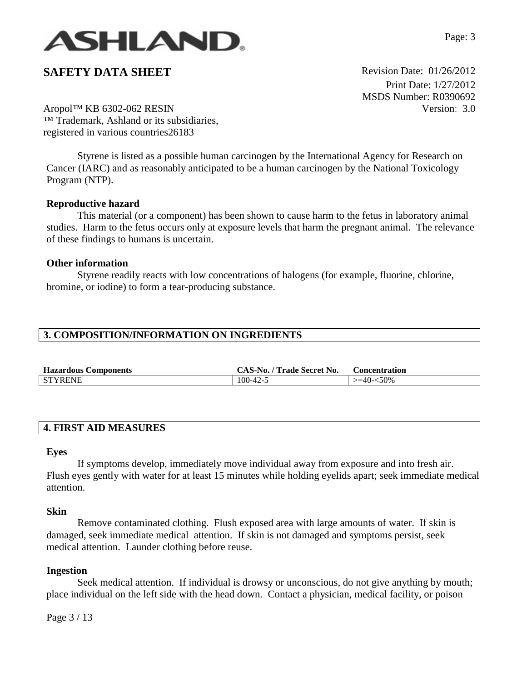

 Print Date: 1/27/2012 MSDS Number: R0390692 Version: 3.0

Aropol™ KB 6302-062 RESIN ™ Trademark, Ashland or its subsidiaries, registered in various countries26183

Styrene is listed as a possible human carcinogen by the International Agency for Research on Cancer (IARC) and as reasonably anticipated to be a human carcinogen by the National Toxicology Program (NTP).

### **Reproductive hazard**

This material (or a component) has been shown to cause harm to the fetus in laboratory animal studies. Harm to the fetus occurs only at exposure levels that harm the pregnant animal. The relevance of these findings to humans is uncertain.

#### **Other information**

Styrene readily reacts with low concentrations of halogens (for example, fluorine, chlorine, bromine, or iodine) to form a tear-producing substance.

### **3. COMPOSITION/INFORMATION ON INGREDIENTS**

| <b>Hazardous Components</b> | CAS-No. / Trade Secret No. | . Concentration     |
|-----------------------------|----------------------------|---------------------|
| <b>STYRENE</b>              | $100 - 42 - 5$             | $\degree$ >=40-<50% |

### **4. FIRST AID MEASURES**

#### **Eyes**

If symptoms develop, immediately move individual away from exposure and into fresh air. Flush eyes gently with water for at least 15 minutes while holding eyelids apart; seek immediate medical attention.

#### **Skin**

Remove contaminated clothing. Flush exposed area with large amounts of water. If skin is damaged, seek immediate medical attention. If skin is not damaged and symptoms persist, seek medical attention. Launder clothing before reuse.

#### **Ingestion**

Seek medical attention. If individual is drowsy or unconscious, do not give anything by mouth; place individual on the left side with the head down. Contact a physician, medical facility, or poison

Page 3 / 13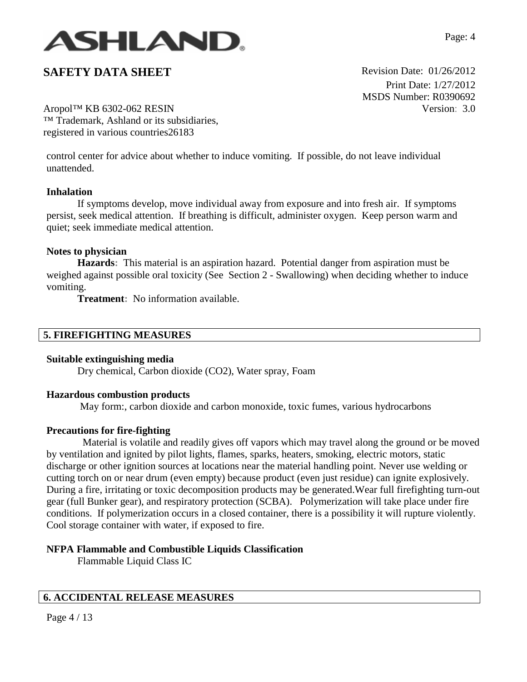

 Print Date: 1/27/2012 MSDS Number: R0390692 Version: 3.0

Aropol™ KB 6302-062 RESIN ™ Trademark, Ashland or its subsidiaries, registered in various countries26183

control center for advice about whether to induce vomiting. If possible, do not leave individual unattended.

### **Inhalation**

If symptoms develop, move individual away from exposure and into fresh air. If symptoms persist, seek medical attention. If breathing is difficult, administer oxygen. Keep person warm and quiet; seek immediate medical attention.

#### **Notes to physician**

**Hazards:** This material is an aspiration hazard. Potential danger from aspiration must be weighed against possible oral toxicity (See Section 2 - Swallowing) when deciding whether to induce vomiting.

**Treatment:** No information available.

### **5. FIREFIGHTING MEASURES**

#### **Suitable extinguishing media**

Dry chemical, Carbon dioxide (CO2), Water spray, Foam

#### **Hazardous combustion products**

May form:, carbon dioxide and carbon monoxide, toxic fumes, various hydrocarbons

## **Precautions for fire-fighting**

 Material is volatile and readily gives off vapors which may travel along the ground or be moved by ventilation and ignited by pilot lights, flames, sparks, heaters, smoking, electric motors, static discharge or other ignition sources at locations near the material handling point. Never use welding or cutting torch on or near drum (even empty) because product (even just residue) can ignite explosively. During a fire, irritating or toxic decomposition products may be generated.Wear full firefighting turn-out gear (full Bunker gear), and respiratory protection (SCBA). Polymerization will take place under fire conditions. If polymerization occurs in a closed container, there is a possibility it will rupture violently. Cool storage container with water, if exposed to fire.

# **NFPA Flammable and Combustible Liquids Classification**

Flammable Liquid Class IC

## **6. ACCIDENTAL RELEASE MEASURES**

Page 4 / 13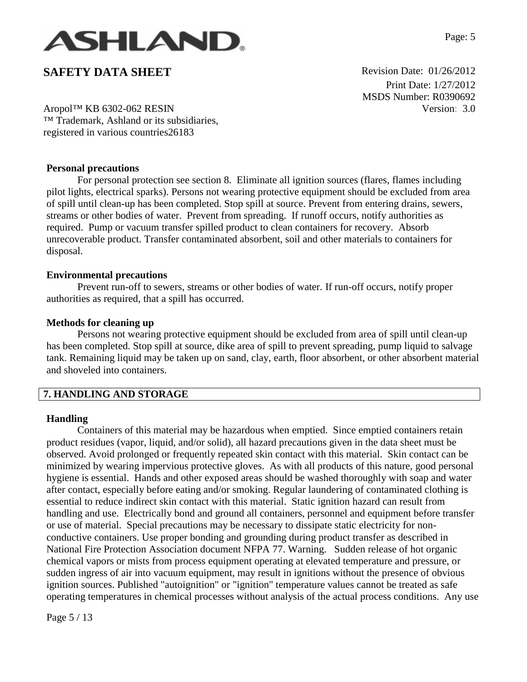

 Print Date: 1/27/2012 MSDS Number: R0390692 Version: 3.0

Aropol™ KB 6302-062 RESIN ™ Trademark, Ashland or its subsidiaries, registered in various countries26183

### **Personal precautions**

For personal protection see section 8.Eliminate all ignition sources (flares, flames including pilot lights, electrical sparks). Persons not wearing protective equipment should be excluded from area of spill until clean-up has been completed. Stop spill at source. Prevent from entering drains, sewers, streams or other bodies of water. Prevent from spreading. If runoff occurs, notify authorities as required. Pump or vacuum transfer spilled product to clean containers for recovery. Absorb unrecoverable product. Transfer contaminated absorbent, soil and other materials to containers for disposal.

#### **Environmental precautions**

Prevent run-off to sewers, streams or other bodies of water. If run-off occurs, notify proper authorities as required, that a spill has occurred.

#### **Methods for cleaning up**

Persons not wearing protective equipment should be excluded from area of spill until clean-up has been completed. Stop spill at source, dike area of spill to prevent spreading, pump liquid to salvage tank. Remaining liquid may be taken up on sand, clay, earth, floor absorbent, or other absorbent material and shoveled into containers.

## **7. HANDLING AND STORAGE**

#### **Handling**

Containers of this material may be hazardous when emptied. Since emptied containers retain product residues (vapor, liquid, and/or solid), all hazard precautions given in the data sheet must be observed. Avoid prolonged or frequently repeated skin contact with this material. Skin contact can be minimized by wearing impervious protective gloves. As with all products of this nature, good personal hygiene is essential. Hands and other exposed areas should be washed thoroughly with soap and water after contact, especially before eating and/or smoking. Regular laundering of contaminated clothing is essential to reduce indirect skin contact with this material. Static ignition hazard can result from handling and use. Electrically bond and ground all containers, personnel and equipment before transfer or use of material. Special precautions may be necessary to dissipate static electricity for nonconductive containers. Use proper bonding and grounding during product transfer as described in National Fire Protection Association document NFPA 77. Warning. Sudden release of hot organic chemical vapors or mists from process equipment operating at elevated temperature and pressure, or sudden ingress of air into vacuum equipment, may result in ignitions without the presence of obvious ignition sources. Published "autoignition" or "ignition" temperature values cannot be treated as safe operating temperatures in chemical processes without analysis of the actual process conditions. Any use

Page 5 / 13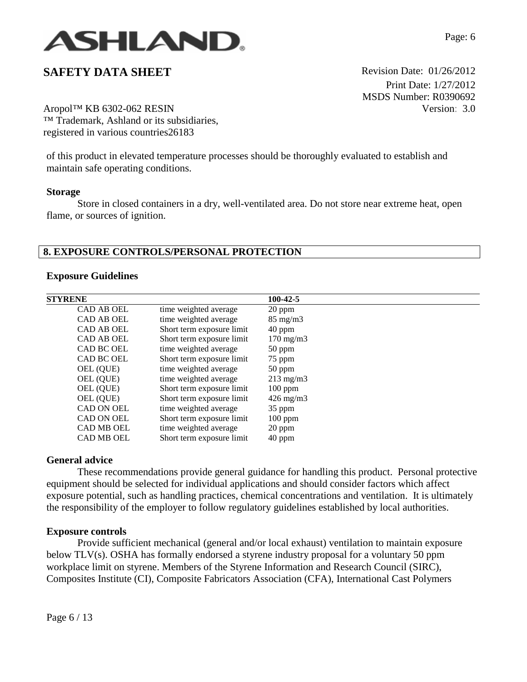

 Print Date: 1/27/2012 MSDS Number: R0390692 Version: 3.0

Aropol™ KB 6302-062 RESIN ™ Trademark, Ashland or its subsidiaries, registered in various countries26183

of this product in elevated temperature processes should be thoroughly evaluated to establish and maintain safe operating conditions.

#### **Storage**

Store in closed containers in a dry, well-ventilated area. Do not store near extreme heat, open flame, or sources of ignition.

## **8. EXPOSURE CONTROLS/PERSONAL PROTECTION**

#### **Exposure Guidelines**

| <b>STYRENE</b>    |                           | 100-42-5           |
|-------------------|---------------------------|--------------------|
| <b>CAD AB OEL</b> | time weighted average     | $20$ ppm           |
| <b>CAD AB OEL</b> | time weighted average     | $85 \text{ mg/m}$  |
| <b>CAD AB OEL</b> | Short term exposure limit | $40$ ppm           |
| CAD AB OEL        | Short term exposure limit | $170 \text{ mg/m}$ |
| CAD BC OEL        | time weighted average     | $50$ ppm           |
| CAD BC OEL        | Short term exposure limit | 75 ppm             |
| OEL (QUE)         | time weighted average     | $50$ ppm           |
| OEL (QUE)         | time weighted average     | $213 \text{ mg/m}$ |
| OEL (QUE)         | Short term exposure limit | $100$ ppm          |
| OEL (QUE)         | Short term exposure limit | $426 \text{ mg/m}$ |
| CAD ON OEL        | time weighted average     | 35 ppm             |
| CAD ON OEL        | Short term exposure limit | $100$ ppm          |
| <b>CAD MB OEL</b> | time weighted average     | 20 ppm             |
| <b>CAD MB OEL</b> | Short term exposure limit | 40 ppm             |

## **General advice**

These recommendations provide general guidance for handling this product. Personal protective equipment should be selected for individual applications and should consider factors which affect exposure potential, such as handling practices, chemical concentrations and ventilation. It is ultimately the responsibility of the employer to follow regulatory guidelines established by local authorities.

#### **Exposure controls**

Provide sufficient mechanical (general and/or local exhaust) ventilation to maintain exposure below TLV(s). OSHA has formally endorsed a styrene industry proposal for a voluntary 50 ppm workplace limit on styrene. Members of the Styrene Information and Research Council (SIRC), Composites Institute (CI), Composite Fabricators Association (CFA), International Cast Polymers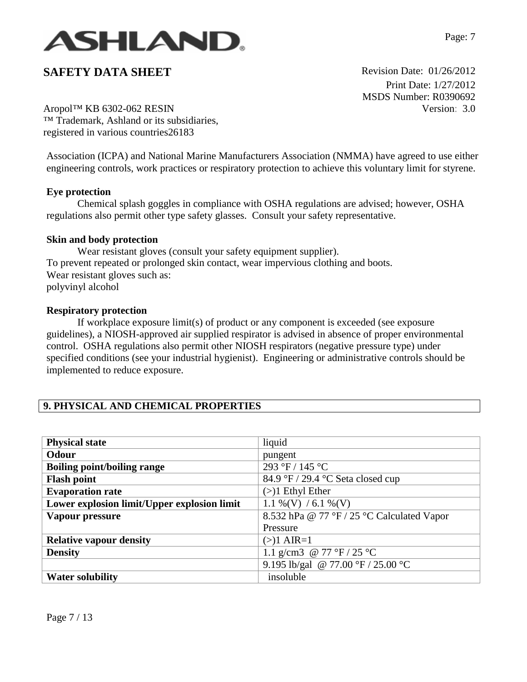

 Print Date: 1/27/2012 MSDS Number: R0390692 Version: 3.0

Aropol™ KB 6302-062 RESIN ™ Trademark, Ashland or its subsidiaries, registered in various countries26183

Association (ICPA) and National Marine Manufacturers Association (NMMA) have agreed to use either engineering controls, work practices or respiratory protection to achieve this voluntary limit for styrene.

## **Eye protection**

Chemical splash goggles in compliance with OSHA regulations are advised; however, OSHA regulations also permit other type safety glasses. Consult your safety representative.

### **Skin and body protection**

Wear resistant gloves (consult your safety equipment supplier). To prevent repeated or prolonged skin contact, wear impervious clothing and boots. Wear resistant gloves such as: polyvinyl alcohol

### **Respiratory protection**

If workplace exposure limit(s) of product or any component is exceeded (see exposure guidelines), a NIOSH-approved air supplied respirator is advised in absence of proper environmental control. OSHA regulations also permit other NIOSH respirators (negative pressure type) under specified conditions (see your industrial hygienist). Engineering or administrative controls should be implemented to reduce exposure.

# **9. PHYSICAL AND CHEMICAL PROPERTIES**

| <b>Physical state</b>                       | liquid                                     |
|---------------------------------------------|--------------------------------------------|
| Odour                                       | pungent                                    |
| <b>Boiling point/boiling range</b>          | 293 °F / 145 °C                            |
| <b>Flash point</b>                          | 84.9 °F / 29.4 °C Seta closed cup          |
| <b>Evaporation rate</b>                     | $(>)$ 1 Ethyl Ether                        |
| Lower explosion limit/Upper explosion limit | 1.1 %(V) / 6.1 %(V)                        |
| Vapour pressure                             | 8.532 hPa @ 77 °F / 25 °C Calculated Vapor |
|                                             | Pressure                                   |
| <b>Relative vapour density</b>              | $(>)1$ AIR=1                               |
| <b>Density</b>                              | 1.1 g/cm3 @ 77 °F / 25 °C                  |
|                                             | 9.195 lb/gal @ 77.00 °F / 25.00 °C         |
| <b>Water solubility</b>                     | insoluble                                  |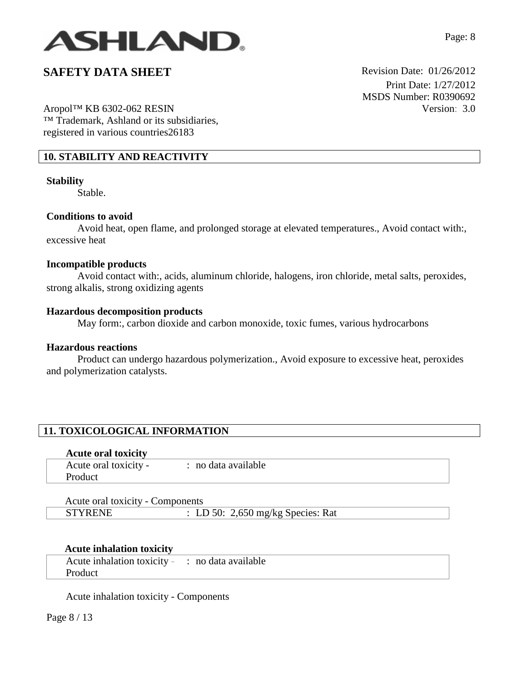

Aropol™ KB 6302-062 RESIN ™ Trademark, Ashland or its subsidiaries, registered in various countries26183

### **10. STABILITY AND REACTIVITY**

#### **Stability**

Stable.

#### **Conditions to avoid**

Avoid heat, open flame, and prolonged storage at elevated temperatures., Avoid contact with:, excessive heat

### **Incompatible products**

Avoid contact with:, acids, aluminum chloride, halogens, iron chloride, metal salts, peroxides, strong alkalis, strong oxidizing agents

#### **Hazardous decomposition products**

May form:, carbon dioxide and carbon monoxide, toxic fumes, various hydrocarbons

### **Hazardous reactions**

Product can undergo hazardous polymerization., Avoid exposure to excessive heat, peroxides and polymerization catalysts.

# **11. TOXICOLOGICAL INFORMATION**

#### **Acute oral toxicity**

| Acute oral toxicity - | · no data available |
|-----------------------|---------------------|
| Product               |                     |

| Acute oral toxicity - Components |                                   |  |
|----------------------------------|-----------------------------------|--|
| <b>STYRENE</b>                   | : LD 50: 2,650 mg/kg Species: Rat |  |

## **Acute inhalation toxicity**

| Acute inhalation toxicity - : no data available |  |
|-------------------------------------------------|--|
| Product                                         |  |

Acute inhalation toxicity - Components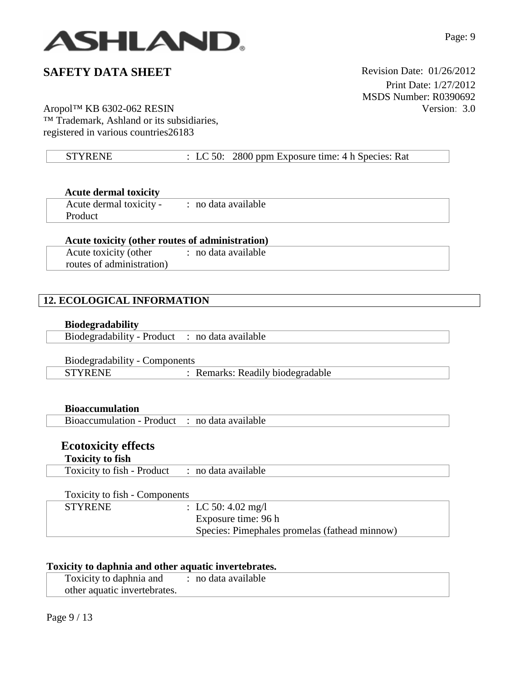

 Print Date: 1/27/2012 MSDS Number: R0390692 Version: 3.0

# Aropol™ KB 6302-062 RESIN TM Trademark, Ashland or its subsidiaries, registered in various countries26183

| : LC 50: 2800 ppm Exposure time: $4 h$ Species: Rat<br><b>STYRENE</b> |
|-----------------------------------------------------------------------|
|-----------------------------------------------------------------------|

| <b>Acute dermal toxicity</b> |  |
|------------------------------|--|
|------------------------------|--|

| Acute dermal toxicity - | : no data available |
|-------------------------|---------------------|
| <b>Product</b>          |                     |

# **Acute toxicity (other routes of administration)**

Acute toxicity (other routes of administration) : no data available

# **12. ECOLOGICAL INFORMATION**

# **Biodegradability**

| Biodegradability - Product : no data available |  |
|------------------------------------------------|--|
|                                                |  |

# Biodegradability - Components

| $P_{\text{10}}$ $P_{\text{21}}$ $P_{\text{32}}$ | $\sim$                         |
|-------------------------------------------------|--------------------------------|
|                                                 | Remarks: Readily biodegradable |

# **Bioaccumulation**

| Bioaccumulation - Product : no data available |  |
|-----------------------------------------------|--|
|                                               |  |

# **Ecotoxicity effects**

# **Toxicity to fish**

| Toxicity to fish - Product : no data available |  |
|------------------------------------------------|--|
|                                                |  |

# Toxicity to fish - Components

| <b>STYRENE</b> | : LC 50: 4.02 mg/l                            |
|----------------|-----------------------------------------------|
|                | Exposure time: 96 h                           |
|                | Species: Pimephales promelas (fathead minnow) |

# **Toxicity to daphnia and other aquatic invertebrates.**

| Toxicity to daphnia and : no data available |  |
|---------------------------------------------|--|
| other aquatic invertebrates.                |  |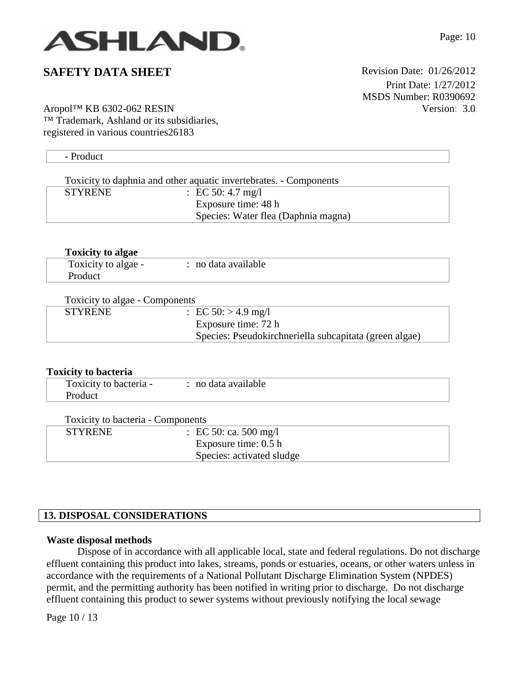

 Print Date: 1/27/2012 MSDS Number: R0390692 Version: 3.0

Aropol™ KB 6302-062 RESIN ™ Trademark, Ashland or its subsidiaries, registered in various countries26183

| - Product      |                                                                   |  |
|----------------|-------------------------------------------------------------------|--|
|                |                                                                   |  |
|                | Toxicity to daphnia and other aquatic invertebrates. - Components |  |
| <b>STYRENE</b> | : EC 50: 4.7 mg/l                                                 |  |
|                | Exposure time: 48 h                                               |  |
|                | Species: Water flea (Daphnia magna)                               |  |
|                |                                                                   |  |

| <b>Toxicity to algae</b> |                     |  |
|--------------------------|---------------------|--|
| Toxicity to algae -      | : no data available |  |
| Product                  |                     |  |

| Toxicity to algae - Components |                                                        |  |  |
|--------------------------------|--------------------------------------------------------|--|--|
| <b>STYRENE</b>                 | : EC 50: $> 4.9$ mg/l                                  |  |  |
|                                | Exposure time: 72 h                                    |  |  |
|                                | Species: Pseudokirchneriella subcapitata (green algae) |  |  |

| <b>Toxicity to bacteria</b>       |                       |  |
|-----------------------------------|-----------------------|--|
| Toxicity to bacteria -            | : no data available   |  |
| Product                           |                       |  |
|                                   |                       |  |
| Toxicity to bacteria - Components |                       |  |
| <b>STYRENE</b>                    | : EC 50: ca. 500 mg/l |  |
|                                   | Exposure time: 0.5 h  |  |

# **13. DISPOSAL CONSIDERATIONS**

## **Waste disposal methods**

Dispose of in accordance with all applicable local, state and federal regulations. Do not discharge effluent containing this product into lakes, streams, ponds or estuaries, oceans, or other waters unless in accordance with the requirements of a National Pollutant Discharge Elimination System (NPDES) permit, and the permitting authority has been notified in writing prior to discharge. Do not discharge effluent containing this product to sewer systems without previously notifying the local sewage

Page 10 / 13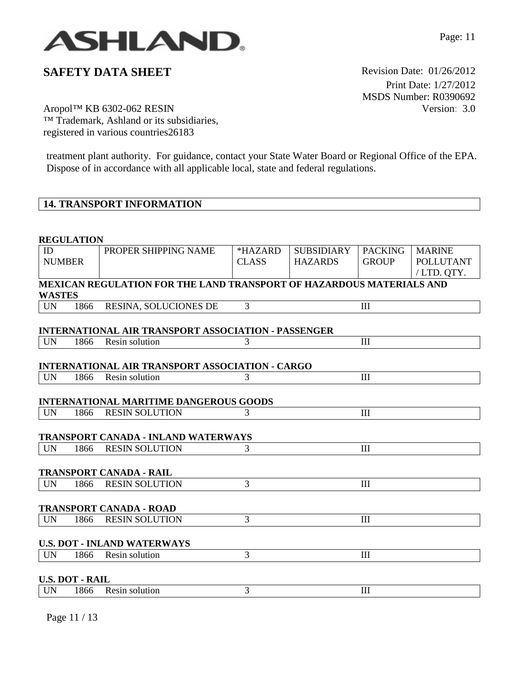

 Print Date: 1/27/2012 MSDS Number: R0390692 Version: 3.0

Aropol™ KB 6302-062 RESIN TM Trademark, Ashland or its subsidiaries, registered in various countries26183

treatment plant authority. For guidance, contact your State Water Board or Regional Office of the EPA. Dispose of in accordance with all applicable local, state and federal regulations.

## **14. TRANSPORT INFORMATION**

#### **REGULATION**

| ID            |                        | PROPER SHIPPING NAME                                                 | *HAZARD        | <b>SUBSIDIARY</b> | <b>PACKING</b> | <b>MARINE</b>    |
|---------------|------------------------|----------------------------------------------------------------------|----------------|-------------------|----------------|------------------|
| <b>NUMBER</b> |                        |                                                                      | <b>CLASS</b>   | <b>HAZARDS</b>    | <b>GROUP</b>   | <b>POLLUTANT</b> |
|               |                        |                                                                      |                |                   |                |                  |
|               |                        |                                                                      |                |                   |                | /LTD. QTY.       |
| <b>WASTES</b> |                        | MEXICAN REGULATION FOR THE LAND TRANSPORT OF HAZARDOUS MATERIALS AND |                |                   |                |                  |
| <b>UN</b>     | 1866                   | RESINA, SOLUCIONES DE                                                | 3              |                   | III            |                  |
|               |                        | <b>INTERNATIONAL AIR TRANSPORT ASSOCIATION - PASSENGER</b>           |                |                   |                |                  |
| <b>UN</b>     | 1866                   | Resin solution                                                       | 3              |                   | III            |                  |
|               |                        | INTERNATIONAL AIR TRANSPORT ASSOCIATION - CARGO                      |                |                   |                |                  |
| <b>UN</b>     | 1866                   | Resin solution                                                       | 3              |                   | III            |                  |
|               |                        | <b>INTERNATIONAL MARITIME DANGEROUS GOODS</b>                        |                |                   |                |                  |
| <b>UN</b>     | 1866                   | <b>RESIN SOLUTION</b>                                                | 3              |                   | Ш              |                  |
|               |                        | <b>TRANSPORT CANADA - INLAND WATERWAYS</b>                           |                |                   |                |                  |
| <b>UN</b>     | 1866                   | <b>RESIN SOLUTION</b>                                                | 3              |                   | Ш              |                  |
|               |                        | <b>TRANSPORT CANADA - RAIL</b>                                       |                |                   |                |                  |
| <b>UN</b>     | 1866                   | <b>RESIN SOLUTION</b>                                                | 3              |                   | III            |                  |
|               |                        | <b>TRANSPORT CANADA - ROAD</b>                                       |                |                   |                |                  |
| <b>UN</b>     | 1866                   | <b>RESIN SOLUTION</b>                                                | $\overline{3}$ |                   | Ш              |                  |
|               |                        | <b>U.S. DOT - INLAND WATERWAYS</b>                                   |                |                   |                |                  |
| <b>UN</b>     | 1866                   | Resin solution                                                       | 3              |                   | III            |                  |
|               | <b>U.S. DOT - RAIL</b> |                                                                      |                |                   |                |                  |
| <b>UN</b>     | 1866                   | Resin solution                                                       | 3              |                   | III            |                  |

Page 11 / 13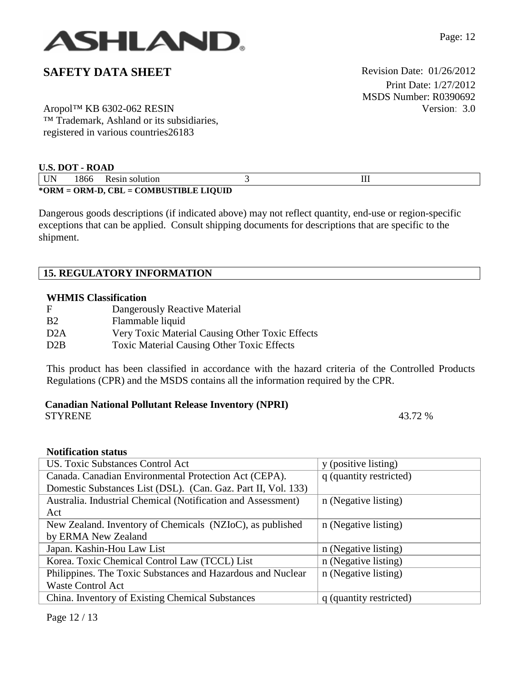

Aropol™ KB 6302-062 RESIN ™ Trademark, Ashland or its subsidiaries, registered in various countries26183

 Print Date: 1/27/2012 MSDS Number: R0390692 Version: 3.0

| <b>U.S. DOT - ROAD</b> |                                        |                |  |  |  |  |
|------------------------|----------------------------------------|----------------|--|--|--|--|
| UN                     | 1866                                   | Resin solution |  |  |  |  |
|                        | *ORM = ORM-D, CBL = COMBUSTIBLE LIQUID |                |  |  |  |  |

Dangerous goods descriptions (if indicated above) may not reflect quantity, end-use or region-specific exceptions that can be applied. Consult shipping documents for descriptions that are specific to the shipment.

## **15. REGULATORY INFORMATION**

### **WHMIS Classification**

| F                | Dangerously Reactive Material                     |
|------------------|---------------------------------------------------|
| B <sub>2</sub>   | Flammable liquid                                  |
| D <sub>2</sub> A | Very Toxic Material Causing Other Toxic Effects   |
| D2B              | <b>Toxic Material Causing Other Toxic Effects</b> |

This product has been classified in accordance with the hazard criteria of the Controlled Products Regulations (CPR) and the MSDS contains all the information required by the CPR.

# **Canadian National Pollutant Release Inventory (NPRI)**

STYRENE 43.72 %

## **Notification status**

| US. Toxic Substances Control Act                              | y (positive listing)    |
|---------------------------------------------------------------|-------------------------|
| Canada. Canadian Environmental Protection Act (CEPA).         | q (quantity restricted) |
| Domestic Substances List (DSL). (Can. Gaz. Part II, Vol. 133) |                         |
| Australia. Industrial Chemical (Notification and Assessment)  | n (Negative listing)    |
| Act                                                           |                         |
| New Zealand. Inventory of Chemicals (NZIoC), as published     | n (Negative listing)    |
| by ERMA New Zealand                                           |                         |
| Japan. Kashin-Hou Law List                                    | n (Negative listing)    |
| Korea. Toxic Chemical Control Law (TCCL) List                 | n (Negative listing)    |
| Philippines. The Toxic Substances and Hazardous and Nuclear   | n (Negative listing)    |
| <b>Waste Control Act</b>                                      |                         |
| China. Inventory of Existing Chemical Substances              | q (quantity restricted) |

Page 12 / 13